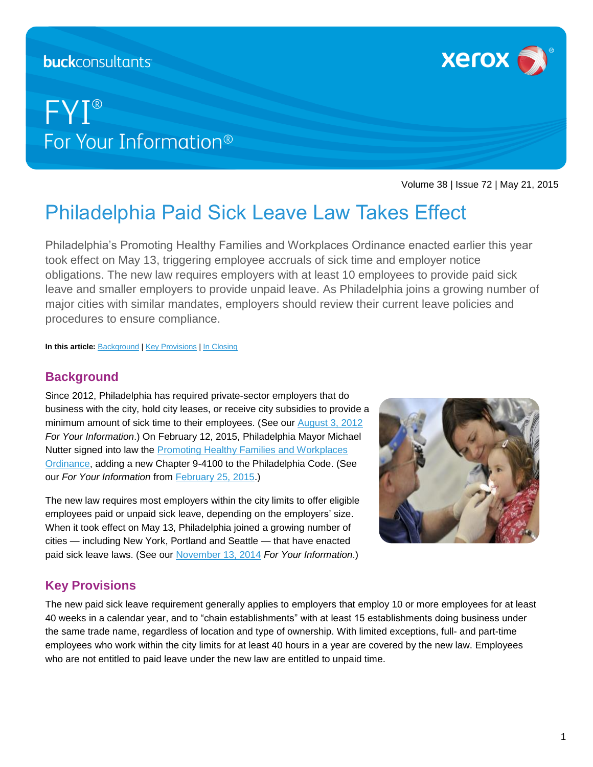## **buck**consultants

# FYI® For Your Information<sup>®</sup>



Volume 38 | Issue 72 | May 21, 2015

## Philadelphia Paid Sick Leave Law Takes Effect

Philadelphia's Promoting Healthy Families and Workplaces Ordinance enacted earlier this year took effect on May 13, triggering employee accruals of sick time and employer notice obligations. The new law requires employers with at least 10 employees to provide paid sick leave and smaller employers to provide unpaid leave. As Philadelphia joins a growing number of major cities with similar mandates, employers should review their current leave policies and procedures to ensure compliance.

**In this article:** [Background](#page-0-0) [| Key Provisions](#page-0-1) [| In Closing](#page-2-0)

## <span id="page-0-0"></span>**Background**

Since 2012, Philadelphia has required private-sector employers that do business with the city, hold city leases, or receive city subsidies to provide a minimum amount of sick time to their employees. (See our [August 3, 2012](http://hrlaws.services.xerox.com/wp-content/uploads/sites/2/2012/08/fyi-2012-0803a-Philadelphia-Paid-Sick-Leave-Mandate-Now-in-Effect.pdf) *For Your Information*.) On February 12, 2015, Philadelphia Mayor Michael Nutter signed into law the **Promoting Healthy Families and Workplaces** [Ordinance,](https://phila.legistar.com/LegislationDetail.aspx?ID=2101250&GUID=5D12D54D-B1A7-4446-B646-95BE528F771C) adding a new Chapter 9-4100 to the Philadelphia Code. (See our *For Your Information* from [February 25, 2015.](https://hrlaws.services.xerox.com/wp-content/uploads/sites/2/2015/02/hrc_fyi_2015-02-25.pdf))

The new law requires most employers within the city limits to offer eligible employees paid or unpaid sick leave, depending on the employers' size. When it took effect on May 13, Philadelphia joined a growing number of cities — including New York, Portland and Seattle — that have enacted paid sick leave laws. (See our [November 13, 2014](http://hrlaws.services.xerox.com/wp-content/uploads/sites/2/2014/11/hrc_fyi_2014-11-13.pdf) *For Your Information*.)



## <span id="page-0-1"></span>**Key Provisions**

The new paid sick leave requirement generally applies to employers that employ 10 or more employees for at least 40 weeks in a calendar year, and to "chain establishments" with at least 15 establishments doing business under the same trade name, regardless of location and type of ownership. With limited exceptions, full- and part-time employees who work within the city limits for at least 40 hours in a year are covered by the new law. Employees who are not entitled to paid leave under the new law are entitled to unpaid time.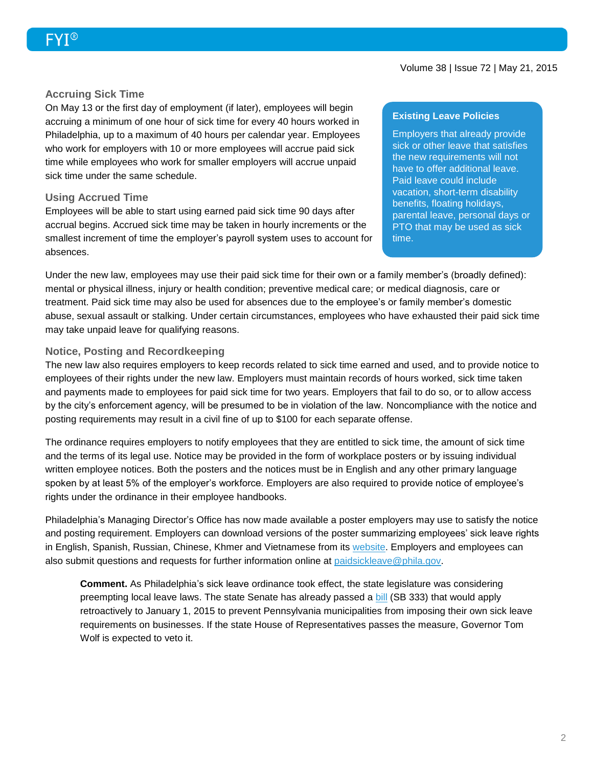#### **Accruing Sick Time**

On May 13 or the first day of employment (if later), employees will begin accruing a minimum of one hour of sick time for every 40 hours worked in Philadelphia, up to a maximum of 40 hours per calendar year. Employees who work for employers with 10 or more employees will accrue paid sick time while employees who work for smaller employers will accrue unpaid sick time under the same schedule.

#### **Using Accrued Time**

Employees will be able to start using earned paid sick time 90 days after accrual begins. Accrued sick time may be taken in hourly increments or the smallest increment of time the employer's payroll system uses to account for absences.

#### **Existing Leave Policies**

Employers that already provide sick or other leave that satisfies the new requirements will not have to offer additional leave. Paid leave could include vacation, short-term disability benefits, floating holidays, parental leave, personal days or PTO that may be used as sick time.

Under the new law, employees may use their paid sick time for their own or a family member's (broadly defined): mental or physical illness, injury or health condition; preventive medical care; or medical diagnosis, care or treatment. Paid sick time may also be used for absences due to the employee's or family member's domestic abuse, sexual assault or stalking. Under certain circumstances, employees who have exhausted their paid sick time may take unpaid leave for qualifying reasons.

#### **Notice, Posting and Recordkeeping**

The new law also requires employers to keep records related to sick time earned and used, and to provide notice to employees of their rights under the new law. Employers must maintain records of hours worked, sick time taken and payments made to employees for paid sick time for two years. Employers that fail to do so, or to allow access by the city's enforcement agency, will be presumed to be in violation of the law. Noncompliance with the notice and posting requirements may result in a civil fine of up to \$100 for each separate offense.

The ordinance requires employers to notify employees that they are entitled to sick time, the amount of sick time and the terms of its legal use. Notice may be provided in the form of workplace posters or by issuing individual written employee notices. Both the posters and the notices must be in English and any other primary language spoken by at least 5% of the employer's workforce. Employers are also required to provide notice of employee's rights under the ordinance in their employee handbooks.

Philadelphia's Managing Director's Office has now made available a poster employers may use to satisfy the notice and posting requirement. Employers can download versions of the poster summarizing employees' sick leave rights in English, Spanish, Russian, Chinese, Khmer and Vietnamese from its [website.](http://www.phila.gov/mdo/Pages/default.aspx) Employers and employees can also submit questions and requests for further information online at [paidsickleave@phila.gov.](mailto:paidsickleave@phila.gov)

**Comment.** As Philadelphia's sick leave ordinance took effect, the state legislature was considering preempting local leave laws. The state Senate has already passed a [bill](http://www.legis.state.pa.us/CFDOCS/Legis/PN/Public/btCheck.cfm?txtType=HTM&sessYr=2015&sessInd=0&billBody=S&billTyp=B&billNbr=0333&pn=0568) (SB 333) that would apply retroactively to January 1, 2015 to prevent Pennsylvania municipalities from imposing their own sick leave requirements on businesses. If the state House of Representatives passes the measure, Governor Tom Wolf is expected to veto it.